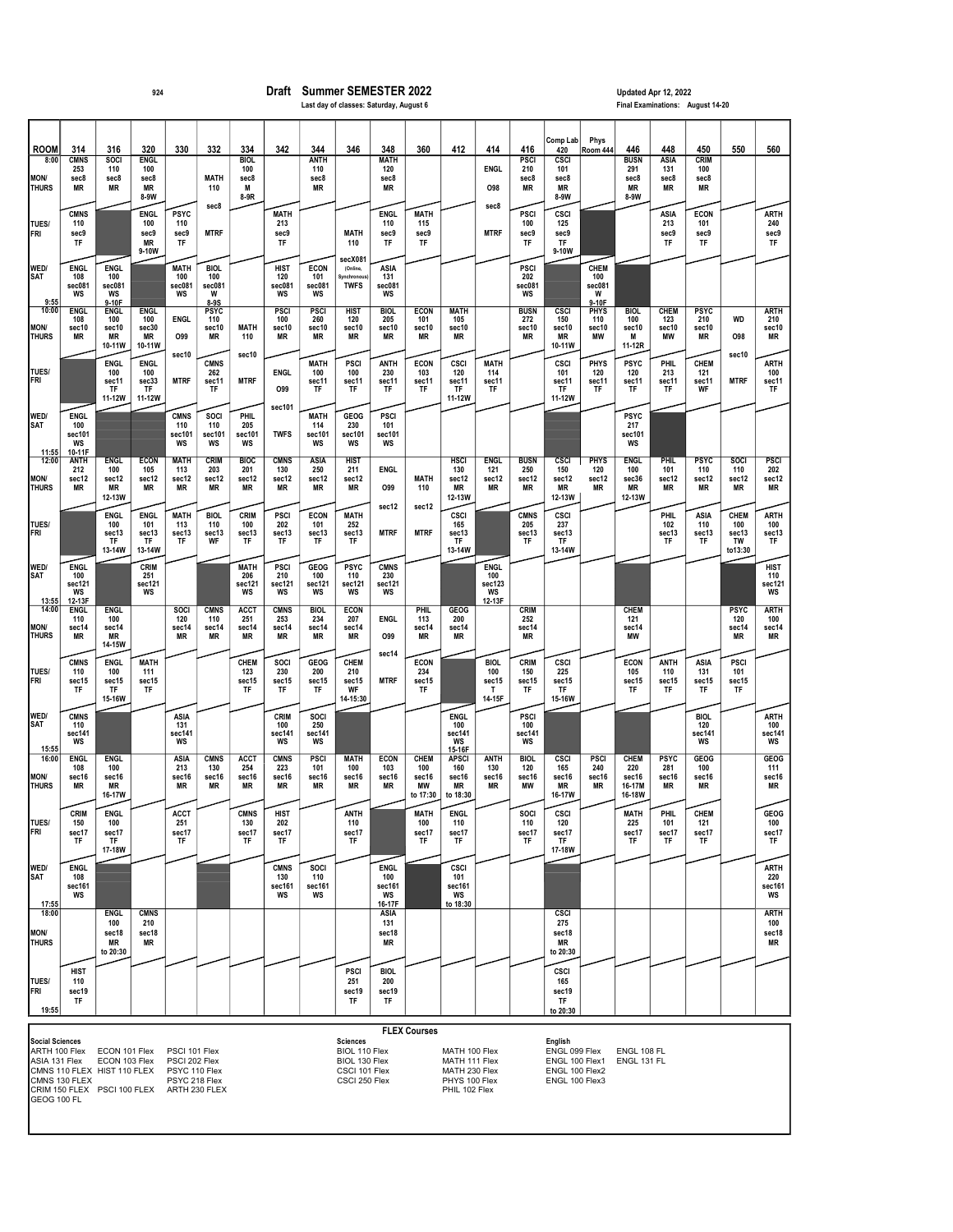## <sup>924</sup> Draft Summer SEMESTER 2022 Updated Apr 12, 2022 Last day of classes: Saturday, August 6

| <b>ROOM</b>                                                             | 314                                          | 316                                                                                          | 320                                         | 330                                                                               | 332                                       | 334                                     | 342                                | 344                                | 346                                                                                 | 348                                          | 360                                    | 412                                                                               | 414                                          | 416                                        | Comp Lab<br>420                                                                | Phys<br>Room 444                      | 446                                             | 448                               | 450                                | 550                                          | 560                                      |
|-------------------------------------------------------------------------|----------------------------------------------|----------------------------------------------------------------------------------------------|---------------------------------------------|-----------------------------------------------------------------------------------|-------------------------------------------|-----------------------------------------|------------------------------------|------------------------------------|-------------------------------------------------------------------------------------|----------------------------------------------|----------------------------------------|-----------------------------------------------------------------------------------|----------------------------------------------|--------------------------------------------|--------------------------------------------------------------------------------|---------------------------------------|-------------------------------------------------|-----------------------------------|------------------------------------|----------------------------------------------|------------------------------------------|
| 8:00<br><b>MON/</b><br><b>THURS</b>                                     | <b>CMNS</b><br>253<br>sec8<br>ΜR             | SOCI<br>110<br>sec8<br>MR                                                                    | <b>ENGL</b><br>100<br>sec8<br>ΜR<br>8-9W    |                                                                                   | <b>MATH</b><br>110                        | <b>BIOL</b><br>100<br>sec8<br>M<br>8-9R |                                    | <b>ANTH</b><br>110<br>sec8<br>MR   |                                                                                     | <b>MATH</b><br>120<br>sec8<br>ΜR             |                                        |                                                                                   | <b>ENGL</b><br>O98                           | PSCI<br>210<br>sec8<br>ΜR                  | <b>CSCI</b><br>101<br>sec8<br>ΜR<br>8-9W                                       |                                       | <b>BUSN</b><br>291<br>sec8<br>ΜR<br>8-9W        | <b>ASIA</b><br>131<br>sec8<br>ΜR  | <b>CRIM</b><br>100<br>sec8<br>ΜR   |                                              |                                          |
| TUES/<br>FRI                                                            | <b>CMNS</b><br>110<br>sec9<br>TF             |                                                                                              | <b>ENGL</b><br>100<br>sec9<br>ΜR<br>9-10W   | <b>PSYC</b><br>110<br>sec9<br>TF                                                  | sec8<br><b>MTRF</b>                       |                                         | <b>MATH</b><br>213<br>sec9<br>TF   |                                    | <b>MATH</b><br>110                                                                  | <b>ENGL</b><br>110<br>sec9<br>TF             | MATH<br>115<br>sec9<br>TF              |                                                                                   | sec8<br><b>MTRF</b>                          | <b>PSCI</b><br>100<br>sec9<br>TF           | <b>CSCI</b><br>125<br>sec9<br>TF<br>9-10W                                      |                                       |                                                 | ASIA<br>213<br>sec9<br>TF         | <b>ECON</b><br>101<br>sec9<br>TF   |                                              | <b>ARTH</b><br>240<br>sec9<br>TF         |
| WED/<br><b>SAT</b><br>9:55                                              | <b>ENGL</b><br>108<br>sec081<br>WS           | <b>ENGL</b><br>100<br>sec081<br>WS<br>9-10F                                                  |                                             | <b>MATH</b><br>100<br>sec081<br>WS                                                | <b>BIOL</b><br>100<br>sec081<br>W<br>8-9S |                                         | HIST<br>120<br>sec081<br>WS        | <b>ECON</b><br>101<br>sec081<br>WS | secX081<br>(Online,<br>Synchronous<br><b>TWFS</b>                                   | ASIA<br>131<br>sec081<br>WS                  |                                        |                                                                                   |                                              | <b>PSCI</b><br>202<br>sec081<br>WS         |                                                                                | CHEM<br>100<br>sec081<br>W<br>$9-10F$ |                                                 |                                   |                                    |                                              |                                          |
| 10:00<br><b>MON/</b><br><b>THURS</b>                                    | <b>ENGL</b><br>108<br>$\text{sec}10$<br>ΜR   | <b>ENGL</b><br>100<br>sec10<br><b>MR</b><br>10-11W                                           | <b>ENGL</b><br>100<br>sec30<br>ΜR<br>10-11W | <b>ENGL</b><br>O99                                                                | <b>PSYC</b><br>110<br>sec10<br>ΜR         | <b>MATH</b><br>110                      | <b>PSCI</b><br>100<br>sec10<br>ΜR  | PSCI<br>260<br>sec10<br>ΜR         | <b>HIST</b><br>120<br>sec10<br>ΜR                                                   | <b>BIOL</b><br>205<br>sec10<br>MR            | <b>ECON</b><br>101<br>sec10<br>ΜR      | <b>MATH</b><br>105<br>sec10<br>ΜR                                                 |                                              | <b>BUSN</b><br>272<br>$\verb sec10 $<br>ΜR | CSCI<br>150<br>sec10<br>MR<br>10-11W                                           | <b>PHYS</b><br>110<br>sec10<br>МW     | <b>BIOL</b><br>100<br>sec10<br>м<br>11-12R      | <b>CHEM</b><br>123<br>sec10<br>MW | <b>PSYC</b><br>210<br>sec10<br>ΜR  | WD<br><b>O98</b>                             | <b>ARTH</b><br>210<br>sec10<br>MR        |
| TUES/<br>FRI                                                            |                                              | <b>ENGL</b><br>100<br>sec11<br>TF<br>11-12W                                                  | <b>ENGL</b><br>100<br>sec33<br>TF<br>11-12W | sec10<br><b>MTRF</b>                                                              | <b>CMNS</b><br>262<br>sec11<br>TF         | sec10<br><b>MTRF</b>                    | <b>ENGL</b><br>O99                 | <b>MATH</b><br>100<br>sec11<br>ΤF  | <b>PSCI</b><br>100<br>sec11<br>TF                                                   | <b>ANTH</b><br>230<br>sec11<br>TF            | <b>ECON</b><br>103<br>sec11<br>TF      | <b>CSCI</b><br>120<br>sec11<br>TF<br>11-12W                                       | <b>MATH</b><br>114<br>sec11<br>TF            |                                            | <b>CSCI</b><br>101<br>sec11<br>TF<br>11-12W                                    | <b>PHYS</b><br>120<br>sec11<br>ΤF     | <b>PSYC</b><br>120<br>sec11<br>TF               | <b>PHIL</b><br>213<br>sec11<br>TF | CHEM<br>121<br>sec11<br>WF         | sec10<br><b>MTRF</b>                         | <b>ARTH</b><br>100<br>sec11<br>TF        |
| WED/<br><b>SAT</b><br>11:55                                             | <b>ENGL</b><br>100<br>sec101<br>WS<br>10-11F |                                                                                              |                                             | <b>CMNS</b><br>110<br>sec101<br>WS                                                | SOCI<br>110<br>sec101<br>WS               | <b>PHIL</b><br>205<br>sec101<br>WS      | sec101<br><b>TWFS</b>              | <b>MATH</b><br>114<br>sec101<br>WS | GEOG<br>230<br>sec101<br>WS                                                         | <b>PSCI</b><br>101<br>sec101<br>WS           |                                        |                                                                                   |                                              |                                            |                                                                                |                                       | <b>PSYC</b><br>217<br>sec101<br>WS              |                                   |                                    |                                              |                                          |
| 12:00<br><b>MON/</b><br><b>THURS</b>                                    | <b>ANTH</b><br>212<br>sec12<br><b>MR</b>     | <b>ENGL</b><br>100<br>sec12<br>ΜR<br>12-13W                                                  | <b>ECON</b><br>105<br>sec12<br>ΜR           | <b>MATH</b><br>113<br>sec12<br>ΜR                                                 | CRIM<br>203<br>sec12<br>ΜR                | <b>BIOC</b><br>201<br>sec12<br>MR       | <b>CMNS</b><br>130<br>sec12<br>ΜR  | <b>ASIA</b><br>250<br>sec12<br>MR  | <b>HIST</b><br>211<br>sec12<br>MR                                                   | <b>ENGL</b><br>O99                           | <b>MATH</b><br>110                     | <b>HSCI</b><br>130<br>sec12<br>ΜR<br>12-13W                                       | <b>ENGL</b><br>121<br>sec12<br>MR            | <b>BUSN</b><br>250<br>sec12<br>ΜR          | <b>CSCI</b><br>150<br>sec12<br>MR<br>12-13W                                    | PHYS<br>120<br>sec12<br>ΜR            | <b>ENGL</b><br>100<br>sec36<br>ΜR<br>12-13W     | <b>PHIL</b><br>101<br>sec12<br>MR | <b>PSYC</b><br>110<br>sec12<br>ΜR  | <b>SOCI</b><br>110<br>sec12<br>MR            | <b>PSCI</b><br>202<br>sec12<br><b>MR</b> |
| TUES/<br>FRI                                                            |                                              | <b>ENGL</b><br>100<br>sec13<br>TF<br>13-14W                                                  | <b>ENGL</b><br>101<br>sec13<br>TF<br>13-14W | <b>MATH</b><br>113<br>sec13<br>TF                                                 | <b>BIOL</b><br>110<br>sec13<br>WF         | <b>CRIM</b><br>100<br>sec13<br>TF       | <b>PSCI</b><br>202<br>sec13<br>TF  | <b>ECON</b><br>101<br>sec13<br>ΤF  | <b>MATH</b><br>252<br>sec13<br>TF                                                   | sec12<br><b>MTRF</b>                         | sec12<br><b>MTRF</b>                   | <b>CSCI</b><br>165<br>sec13<br>TF<br>13-14W                                       |                                              | <b>CMNS</b><br>205<br>sec13<br>TF          | <b>CSCI</b><br>237<br>sec13<br>TF<br>13-14W                                    |                                       |                                                 | <b>PHIL</b><br>102<br>sec13<br>TF | ASIA<br>110<br>sec13<br>TF         | <b>CHEM</b><br>100<br>sec13<br>TW<br>to13:30 | <b>ARTH</b><br>100<br>sec13<br>TF        |
| WED/<br><b>SAT</b><br>13:55                                             | <b>ENGL</b><br>100<br>sec121<br>WS<br>12-13F |                                                                                              | <b>CRIM</b><br>251<br>sec121<br>WS          |                                                                                   |                                           | <b>MATH</b><br>206<br>sec121<br>WS      | <b>PSCI</b><br>210<br>sec121<br>WS | GEOG<br>100<br>sec121<br>WS        | <b>PSYC</b><br>110<br>sec121<br>WS                                                  | <b>CMNS</b><br>230<br>sec121<br>WS           |                                        |                                                                                   | <b>ENGL</b><br>100<br>sec123<br>WS<br>12-13F |                                            |                                                                                |                                       |                                                 |                                   |                                    |                                              | HIST<br>110<br>sec121<br>WS              |
| 14:00<br><b>MON/</b><br><b>THURS</b>                                    | <b>ENGL</b><br>110<br>sec14<br>ΜR            | <b>ENGL</b><br>100<br>sec14<br>ΜR<br>14-15W                                                  |                                             | SOCI<br>120<br>sec14<br>ΜR                                                        | <b>CMNS</b><br>110<br>sec14<br>ΜR         | <b>ACCT</b><br>251<br>sec14<br>MR       | <b>CMNS</b><br>253<br>sec14<br>ΜR  | <b>BIOL</b><br>234<br>sec14<br>MR  | <b>ECON</b><br>207<br>sec14<br>MR                                                   | <b>ENGL</b><br>O99                           | <b>PHIL</b><br>113<br>sec14<br>ΜR      | GEOG<br>200<br>sec14<br>ΜR                                                        |                                              | <b>CRIM</b><br>252<br>sec14<br>ΜR          |                                                                                |                                       | CHEM<br>121<br>sec14<br>МW                      |                                   |                                    | <b>PSYC</b><br>120<br>sec14<br>MR            | <b>ARTH</b><br>100<br>sec14<br><b>MR</b> |
| TUES/<br>FRI                                                            | <b>CMNS</b><br>110<br>sec15<br>TF            | <b>ENGL</b><br>100<br>sec15<br>TF<br>15-16W                                                  | <b>MATH</b><br>111<br>sec15<br>TF           |                                                                                   |                                           | CHEM<br>123<br>sec15<br>TF              | SOCI<br>230<br>sec15<br>TF         | <b>GEOG</b><br>200<br>sec15<br>TF  | <b>CHEM</b><br>210<br>sec15<br>WF<br>14-15:30                                       | sec14<br><b>MTRF</b>                         | <b>ECON</b><br>234<br>sec15<br>TF      |                                                                                   | <b>BIOL</b><br>100<br>sec15<br>т<br>14-15F   | <b>CRIM</b><br>150<br>sec15<br>TF          | <b>CSCI</b><br>225<br>sec15<br>TF<br>15-16W                                    |                                       | <b>ECON</b><br>105<br>sec15<br>TF               | <b>ANTH</b><br>110<br>sec15<br>TF | <b>ASIA</b><br>131<br>sec15<br>TF  | <b>PSCI</b><br>101<br>sec15<br>TF            |                                          |
| WED/<br><b>SAT</b><br>15:55                                             | <b>CMNS</b><br>110<br>sec141<br>WS           |                                                                                              |                                             | ASIA<br>131<br>sec141<br>WS                                                       |                                           |                                         | <b>CRIM</b><br>100<br>sec141<br>WS | SOCI<br>250<br>sec141<br>WS        |                                                                                     |                                              |                                        | <b>ENGL</b><br>100<br>sec141<br>WS<br>15-16F                                      |                                              | <b>PSCI</b><br>100<br>sec141<br>WS         |                                                                                |                                       |                                                 |                                   | <b>BIOL</b><br>120<br>sec141<br>WS |                                              | ARTH<br>100<br>sec141<br>WS              |
| 16:00<br><b>MON/</b><br><b>THURS</b>                                    | <b>ENGL</b><br>108<br>sec16<br>ΜR            | <b>ENGL</b><br>100<br>sec16<br>ΜR<br>16-17W                                                  |                                             | <b>ASIA</b><br>213<br>sec16<br>ΜR                                                 | <b>CMNS</b><br>130<br>sec16<br>ΜR         | <b>ACCT</b><br>254<br>sec16<br>MR       | <b>CMNS</b><br>223<br>sec16<br>ΜR  | <b>PSCI</b><br>101<br>sec16<br>MR  | <b>MATH</b><br>100<br>sec16<br>ΜR                                                   | <b>ECON</b><br>103<br>sec16<br>MR            | CHEM<br>100<br>sec16<br>МW<br>to 17:30 | <b>APSCI</b><br>160<br>sec16<br>ΜR<br>to 18:30                                    | <b>ANTH</b><br>130<br>sec16<br>MR            | <b>BIOL</b><br>120<br>sec16<br><b>MW</b>   | <b>CSCI</b><br>165<br>sec16<br>ΜR<br>16-17W                                    | <b>PSCI</b><br>240<br>sec16<br>ΜR     | <b>CHEM</b><br>220<br>sec16<br>16-17M<br>16-18W | <b>PSYC</b><br>281<br>sec16<br>ΜR | GEOG<br>100<br>sec16<br>ΜR         |                                              | GEOG<br>111<br>sec16<br><b>MR</b>        |
| <b>TUES/</b><br>FRI                                                     | <b>CRIM</b><br>150<br>sec17<br>TF            | <b>ENGL</b><br>100<br>sec17<br>TF<br>17-18W                                                  |                                             | <b>ACCT</b><br>251<br>sec17<br>TF                                                 |                                           | <b>CMNS</b><br>130<br>sec17<br>TF       | <b>HIST</b><br>202<br>sec17<br>TF  |                                    | <b>ANTH</b><br>110<br>sec17<br>TF                                                   |                                              | <b>MATH</b><br>100<br>sec17<br>TF      | <b>ENGL</b><br>110<br>sec17<br>TF                                                 |                                              | SOCI<br>110<br>sec17<br>TF                 | <b>CSCI</b><br>120<br>sec17<br>TF<br>17-18W                                    |                                       | <b>MATH</b><br>225<br>sec17<br>TF               | <b>PHIL</b><br>101<br>sec17<br>TF | CHEM<br>121<br>sec17<br>TF         |                                              | GEOG<br>100<br>sec17<br>TF               |
| WED/<br><b>SAT</b><br>17:55                                             | <b>ENGL</b><br>108<br>sec161<br>WS           |                                                                                              |                                             |                                                                                   |                                           |                                         | <b>CMNS</b><br>130<br>sec161<br>WS | SOCI<br>110<br>sec161<br>WS        |                                                                                     | <b>ENGL</b><br>100<br>sec161<br>WS<br>16-17F |                                        | <b>CSCI</b><br>101<br>sec161<br>WS<br>to 18:30                                    |                                              |                                            |                                                                                |                                       |                                                 |                                   |                                    |                                              | <b>ARTH</b><br>220<br>sec161<br>WS       |
| 18:00<br><b>MON/</b><br><b>THURS</b>                                    |                                              | <b>ENGL</b><br>100<br>sec18<br>ΜR<br>to 20:30                                                | <b>CMNS</b><br>210<br>sec18<br>ΜR           |                                                                                   |                                           |                                         |                                    |                                    |                                                                                     | ASIA<br>131<br>sec18<br>MR                   |                                        |                                                                                   |                                              |                                            | <b>CSCI</b><br>275<br>sec18<br>MR<br>to 20:30                                  |                                       |                                                 |                                   |                                    |                                              | <b>ARTH</b><br>100<br>sec18<br>ΜR        |
| TUES/<br>FRI<br>19:55                                                   | <b>HIST</b><br>110<br>sec19<br>TF            |                                                                                              |                                             |                                                                                   |                                           |                                         |                                    |                                    | <b>PSCI</b><br>251<br>sec19<br>TF                                                   | <b>BIOL</b><br>200<br>sec19<br>TF            |                                        |                                                                                   |                                              |                                            | <b>CSCI</b><br>165<br>sec19<br>TF<br>to 20:30                                  |                                       |                                                 |                                   |                                    |                                              |                                          |
| <b>Social Sciences</b><br>ARTH 100 Flex<br>ASIA 131 Flex<br>GEOG 100 FL | CMNS 130 FLEX                                | ECON 101 Flex<br>ECON 103 Flex<br>CMNS 110 FLEX HIST 110 FLEX<br>CRIM 150 FLEX PSCI 100 FLEX |                                             | PSCI 101 Flex<br>PSCI 202 Flex<br>PSYC 110 Flex<br>PSYC 218 Flex<br>ARTH 230 FLEX |                                           |                                         |                                    |                                    | <b>Sciences</b><br>BIOL 110 Flex<br>BIOL 130 Flex<br>CSCI 101 Flex<br>CSCI 250 Flex |                                              | <b>FLEX Courses</b>                    | MATH 100 Flex<br>MATH 111 Flex<br>MATH 230 Flex<br>PHYS 100 Flex<br>PHIL 102 Flex |                                              |                                            | English<br>ENGL 099 Flex<br>ENGL 100 Flex1<br>ENGL 100 Flex2<br>ENGL 100 Flex3 |                                       | ENGL 108 FL<br>ENGL 131 FL                      |                                   |                                    |                                              |                                          |